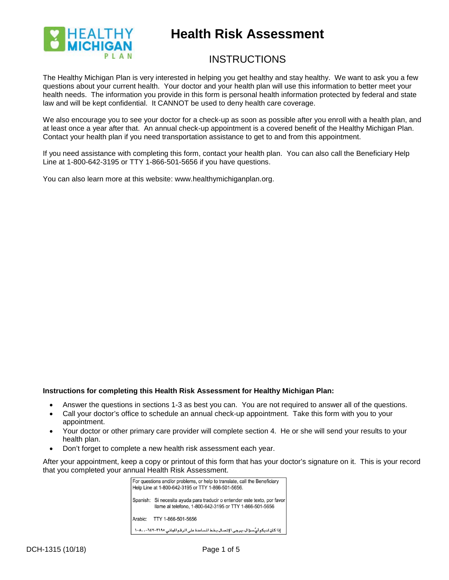

# **Health Risk Assessment**

# **INSTRUCTIONS**

The Healthy Michigan Plan is very interested in helping you get healthy and stay healthy. We want to ask you a few questions about your current health. Your doctor and your health plan will use this information to better meet your health needs. The information you provide in this form is personal health information protected by federal and state law and will be kept confidential. It CANNOT be used to deny health care coverage.

We also encourage you to see your doctor for a check-up as soon as possible after you enroll with a health plan, and at least once a year after that. An annual check-up appointment is a covered benefit of the Healthy Michigan Plan. Contact your health plan if you need transportation assistance to get to and from this appointment.

If you need assistance with completing this form, contact your health plan. You can also call the Beneficiary Help Line at 1-800-642-3195 or TTY 1-866-501-5656 if you have questions.

You can also learn more at this website: www.healthymichiganplan.org.

### **Instructions for completing this Health Risk Assessment for Healthy Michigan Plan:**

- Answer the questions in sections 1-3 as best you can. You are not required to answer all of the questions.
- Call your doctor's office to schedule an annual check-up appointment. Take this form with you to your appointment.
- Your doctor or other primary care provider will complete section 4. He or she will send your results to your health plan.
- Don't forget to complete a new health risk assessment each year.

After your appointment, keep a copy or printout of this form that has your doctor's signature on it. This is your record that you completed your annual Health Risk Assessment.

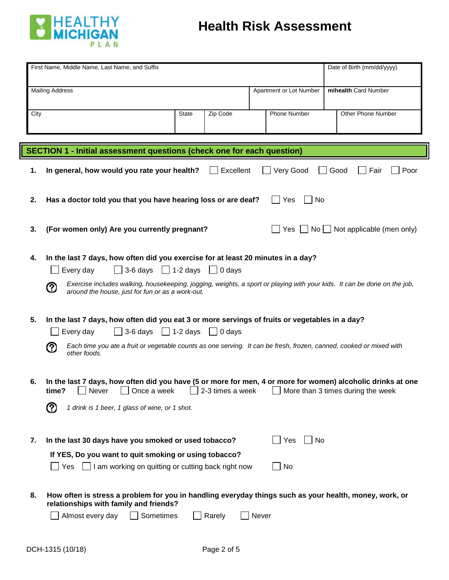

| First Name, Middle Name, Last Name, and Suffix<br>Date of Birth (mm/dd/yyyy) |                                                                                                                                                                                                                                                                                                                                 |       |                         |  |                                                |
|------------------------------------------------------------------------------|---------------------------------------------------------------------------------------------------------------------------------------------------------------------------------------------------------------------------------------------------------------------------------------------------------------------------------|-------|-------------------------|--|------------------------------------------------|
|                                                                              |                                                                                                                                                                                                                                                                                                                                 |       |                         |  |                                                |
| <b>Mailing Address</b>                                                       |                                                                                                                                                                                                                                                                                                                                 |       | Apartment or Lot Number |  | mihealth Card Number                           |
| City                                                                         | <b>State</b><br>Zip Code                                                                                                                                                                                                                                                                                                        |       | Phone Number            |  | Other Phone Number                             |
|                                                                              |                                                                                                                                                                                                                                                                                                                                 |       |                         |  |                                                |
|                                                                              |                                                                                                                                                                                                                                                                                                                                 |       |                         |  |                                                |
|                                                                              | SECTION 1 - Initial assessment questions (check one for each question)                                                                                                                                                                                                                                                          |       |                         |  |                                                |
| 1.                                                                           | Excellent<br>In general, how would you rate your health?                                                                                                                                                                                                                                                                        |       | Very Good               |  | Poor<br>Good<br>Fair                           |
| 2.                                                                           | Has a doctor told you that you have hearing loss or are deaf?                                                                                                                                                                                                                                                                   |       | No<br>Yes               |  |                                                |
| 3.                                                                           | (For women only) Are you currently pregnant?                                                                                                                                                                                                                                                                                    |       |                         |  | Yes $\Box$ No $\Box$ Not applicable (men only) |
| 4.                                                                           | In the last 7 days, how often did you exercise for at least 20 minutes in a day?<br>$\Box$ 3-6 days $\Box$ 1-2 days<br>Every day<br>0 days<br>Exercise includes walking, housekeeping, jogging, weights, a sport or playing with your kids. It can be done on the job,<br>℗<br>around the house, just for fun or as a work-out. |       |                         |  |                                                |
| 5.                                                                           | In the last 7 days, how often did you eat 3 or more servings of fruits or vegetables in a day?<br>$\Box$ 3-6 days $\Box$ 1-2 days $\Box$ 0 days<br>Every day<br>Each time you ate a fruit or vegetable counts as one serving. It can be fresh, frozen, canned, cooked or mixed with<br>(?)<br>other foods.                      |       |                         |  |                                                |
| 6.                                                                           | In the last 7 days, how often did you have (5 or more for men, 4 or more for women) alcoholic drinks at one<br>2-3 times a week<br>time?<br>Once a week<br>Never<br>℗<br>1 drink is 1 beer, 1 glass of wine, or 1 shot.                                                                                                         |       |                         |  | More than 3 times during the week              |
| 7.                                                                           | In the last 30 days have you smoked or used tobacco?<br>If YES, Do you want to quit smoking or using tobacco?<br>I am working on quitting or cutting back right now<br>Yes                                                                                                                                                      |       | No<br>Yes<br>No         |  |                                                |
| 8.                                                                           | How often is stress a problem for you in handling everyday things such as your health, money, work, or<br>relationships with family and friends?<br>Almost every day<br>Sometimes<br>Rarely                                                                                                                                     | Never |                         |  |                                                |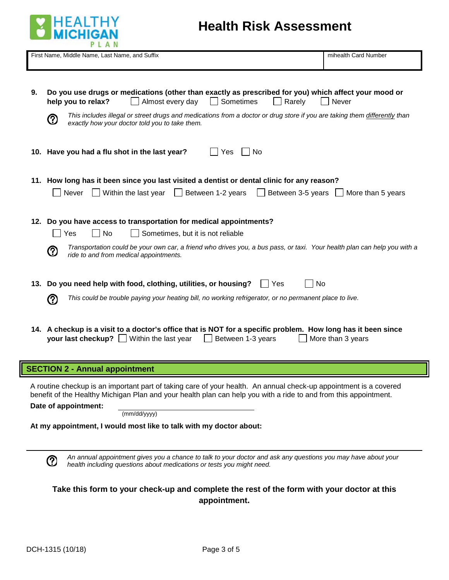

# **Health Risk Assessment**

|    | First Name, Middle Name, Last Name, and Suffix                                                                                                                                                          | mihealth Card Number                            |
|----|---------------------------------------------------------------------------------------------------------------------------------------------------------------------------------------------------------|-------------------------------------------------|
|    |                                                                                                                                                                                                         |                                                 |
|    |                                                                                                                                                                                                         |                                                 |
| 9. | Do you use drugs or medications (other than exactly as prescribed for you) which affect your mood or<br>Sometimes<br>help you to relax?<br>Almost every day<br>Rarely                                   | Never                                           |
|    | This includes illegal or street drugs and medications from a doctor or drug store if you are taking them differently than<br>℗<br>exactly how your doctor told you to take them.                        |                                                 |
|    | 10. Have you had a flu shot in the last year?<br>Yes<br>No                                                                                                                                              |                                                 |
|    | 11. How long has it been since you last visited a dentist or dental clinic for any reason?                                                                                                              |                                                 |
|    | Within the last year<br>Between 1-2 years<br>Never<br>$\mathbf{1}$                                                                                                                                      | Between 3-5 years $\parallel$ More than 5 years |
|    | 12. Do you have access to transportation for medical appointments?                                                                                                                                      |                                                 |
|    | <b>No</b><br>Sometimes, but it is not reliable<br>Yes                                                                                                                                                   |                                                 |
|    | Transportation could be your own car, a friend who drives you, a bus pass, or taxi. Your health plan can help you with a<br>(?)<br>ride to and from medical appointments.                               |                                                 |
|    | 13. Do you need help with food, clothing, utilities, or housing?<br>No<br>Yes                                                                                                                           |                                                 |
|    | This could be trouble paying your heating bill, no working refrigerator, or no permanent place to live.<br>(?)                                                                                          |                                                 |
|    | 14. A checkup is a visit to a doctor's office that is NOT for a specific problem. How long has it been since<br><b>your last checkup?</b> $\vert \cdot \vert$ Within the last year<br>Between 1-3 years | More than 3 years                               |

# **SECTION 2 - Annual appointment**

A routine checkup is an important part of taking care of your health. An annual check-up appointment is a covered benefit of the Healthy Michigan Plan and your health plan can help you with a ride to and from this appointment.

**Date of appointment:**

(mm/dd/yyyy)

**At my appointment, I would most like to talk with my doctor about:**

*An annual appointment gives you a chance to talk to your doctor and ask any questions you may have about your health including questions about medications or tests you might need.*

**Take this form to your check-up and complete the rest of the form with your doctor at this appointment.**

**②**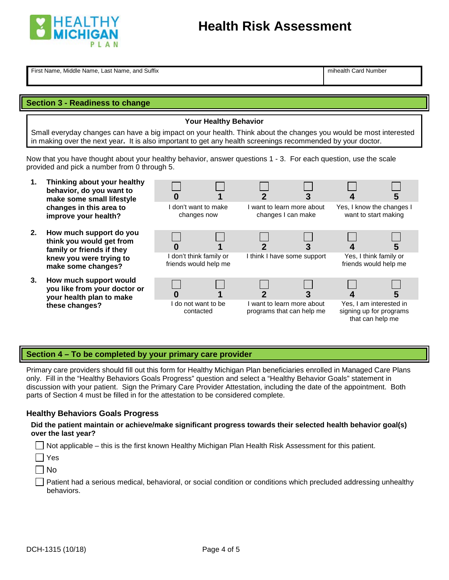

First Name, Middle Name, Last Name, and Suffix mithealth Card Number name of the International Mumber

# **Section 3 - Readiness to change**

**Your Healthy Behavior**

Small everyday changes can have a big impact on your health. Think about the changes you would be most interested in making over the next year**.** It is also important to get any health screenings recommended by your doctor.

Now that you have thought about your healthy behavior, answer questions 1 - 3. For each question, use the scale provided and pick a number from 0 through 5.

- **1. Thinking about your healthy behavior, do you want to make some small lifestyle changes in this area to improve your health?**
- **2. How much support do you think you would get from family or friends if they knew you were trying to make some changes?**
- **3. How much support would you like from your doctor your health plan to make these changes?**

| ,  |                                                  |                    |                             |                            |                                                                        |
|----|--------------------------------------------------|--------------------|-----------------------------|----------------------------|------------------------------------------------------------------------|
|    | changes now                                      | don't want to make | changes I can make          | I want to learn more about | Yes, I know the changes I<br>want to start making                      |
|    |                                                  |                    |                             |                            | 5                                                                      |
|    | I don't think family or<br>friends would help me |                    | I think I have some support |                            | Yes, I think family or<br>friends would help me                        |
| or |                                                  |                    |                             |                            | 5                                                                      |
|    | I do not want to be<br>contacted                 |                    | programs that can help me   | I want to learn more about | Yes, I am interested in<br>signing up for programs<br>that can help me |

# **Section 4 – To be completed by your primary care provider**

Primary care providers should fill out this form for Healthy Michigan Plan beneficiaries enrolled in Managed Care Plans only. Fill in the "Healthy Behaviors Goals Progress" question and select a "Healthy Behavior Goals" statement in discussion with your patient. Sign the Primary Care Provider Attestation, including the date of the appointment. Both parts of Section 4 must be filled in for the attestation to be considered complete.

### **Healthy Behaviors Goals Progress**

### **Did the patient maintain or achieve/make significant progress towards their selected health behavior goal(s) over the last year?**

 $\Box$  Not applicable – this is the first known Healthy Michigan Plan Health Risk Assessment for this patient.

```
 Yes
```
 $\Box$  No

 Patient had a serious medical, behavioral, or social condition or conditions which precluded addressing unhealthy behaviors.